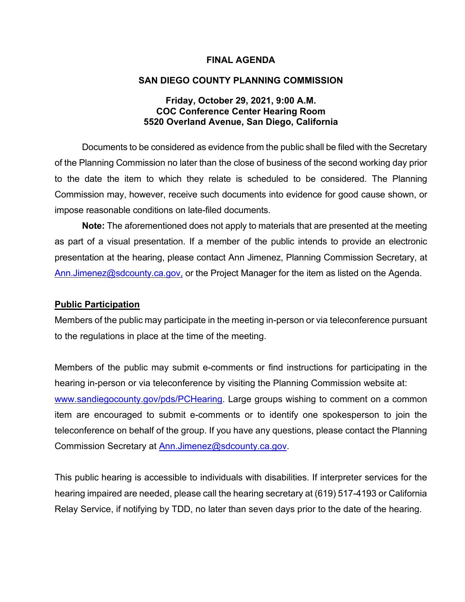### **FINAL AGENDA**

### **SAN DIEGO COUNTY PLANNING COMMISSION**

### **Friday, October 29, 2021, 9:00 A.M. COC Conference Center Hearing Room 5520 Overland Avenue, San Diego, California**

Documents to be considered as evidence from the public shall be filed with the Secretary of the Planning Commission no later than the close of business of the second working day prior to the date the item to which they relate is scheduled to be considered. The Planning Commission may, however, receive such documents into evidence for good cause shown, or impose reasonable conditions on late-filed documents.

**Note:** The aforementioned does not apply to materials that are presented at the meeting as part of a visual presentation. If a member of the public intends to provide an electronic presentation at the hearing, please contact Ann Jimenez, Planning Commission Secretary, at [Ann.Jimenez@sdcounty.ca.gov,](mailto:Ann.Jimenez@sdcounty.ca.gov) or the Project Manager for the item as listed on the Agenda.

### **Public Participation**

Members of the public may participate in the meeting in-person or via teleconference pursuant to the regulations in place at the time of the meeting.

Members of the public may submit e-comments or find instructions for participating in the hearing in-person or via teleconference by visiting the Planning Commission website at: [www.sandiegocounty.gov/pds/PCHearing.](http://www.sandiegocounty.gov/pds/PCHearing) Large groups wishing to comment on a common item are encouraged to submit e-comments or to identify one spokesperson to join the teleconference on behalf of the group. If you have any questions, please contact the Planning Commission Secretary at [Ann.Jimenez@sdcounty.ca.gov.](mailto:Ann.Jimenez@sdcounty.ca.gov)

This public hearing is accessible to individuals with disabilities. If interpreter services for the hearing impaired are needed, please call the hearing secretary at (619) 517-4193 or California Relay Service, if notifying by TDD, no later than seven days prior to the date of the hearing.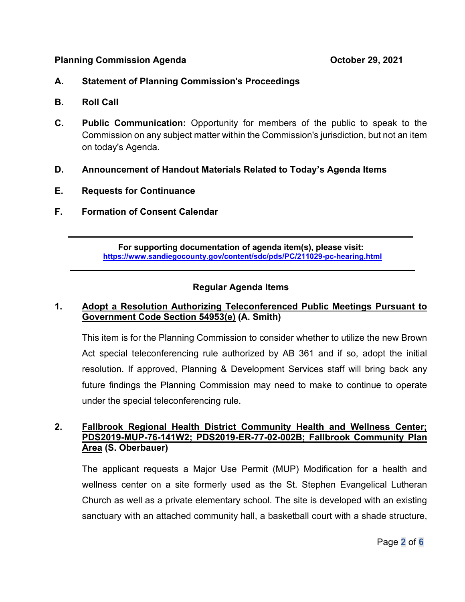### **Planning Commission Agenda Commission Agenda Commission Agents Commission Agents Commission Agents Commission Agents Commission Agents Commission Agents Commission Agents Commission Agents Commission A**

# **A. Statement of Planning Commission's Proceedings**

- **B. Roll Call**
- **C. Public Communication:** Opportunity for members of the public to speak to the Commission on any subject matter within the Commission's jurisdiction, but not an item on today's Agenda.
- **D. Announcement of Handout Materials Related to Today's Agenda Items**
- **E. Requests for Continuance**
- **F. Formation of Consent Calendar**

**For supporting documentation of agenda item(s), please visit: https://www.sandiegocounty.gov/content/sdc/pds/PC/211029-pc-hearing.html**

 $\overline{\phantom{a}}$  , and the contribution of the contribution of the contribution of the contribution of the contribution of the contribution of the contribution of the contribution of the contribution of the contribution of the

 $\overline{\phantom{a}}$  , and the contract of the contract of the contract of the contract of the contract of the contract of the contract of the contract of the contract of the contract of the contract of the contract of the contrac

# **Regular Agenda Items**

# **1. Adopt a Resolution Authorizing Teleconferenced Public Meetings Pursuant to Government Code Section 54953(e) (A. Smith)**

This item is for the Planning Commission to consider whether to utilize the new Brown Act special teleconferencing rule authorized by AB 361 and if so, adopt the initial resolution. If approved, Planning & Development Services staff will bring back any future findings the Planning Commission may need to make to continue to operate under the special teleconferencing rule.

# **2. Fallbrook Regional Health District Community Health and Wellness Center; PDS2019-MUP-76-141W2; PDS2019-ER-77-02-002B; Fallbrook Community Plan Area (S. Oberbauer)**

The applicant requests a Major Use Permit (MUP) Modification for a health and wellness center on a site formerly used as the St. Stephen Evangelical Lutheran Church as well as a private elementary school. The site is developed with an existing sanctuary with an attached community hall, a basketball court with a shade structure,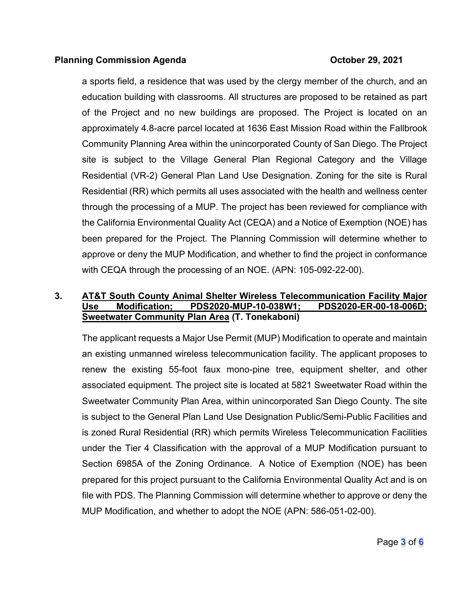### **Planning Commission Agenda Commission Agenda Commission Agents Commission Agents Commission Agents Commission Agents Commission Agents Commission Agents Commission Agents Commission Agents Commission A**

a sports field, a residence that was used by the clergy member of the church, and an education building with classrooms. All structures are proposed to be retained as part of the Project and no new buildings are proposed. The Project is located on an approximately 4.8-acre parcel located at 1636 East Mission Road within the Fallbrook Community Planning Area within the unincorporated County of San Diego. The Project site is subject to the Village General Plan Regional Category and the Village Residential (VR-2) General Plan Land Use Designation. Zoning for the site is Rural Residential (RR) which permits all uses associated with the health and wellness center through the processing of a MUP. The project has been reviewed for compliance with the California Environmental Quality Act (CEQA) and a Notice of Exemption (NOE) has been prepared for the Project. The Planning Commission will determine whether to approve or deny the MUP Modification, and whether to find the project in conformance with CEQA through the processing of an NOE. (APN: 105-092-22-00).

# **3. AT&T South County Animal Shelter Wireless Telecommunication Facility Major Use Modification; PDS2020-MUP-10-038W1; PDS2020-ER-00-18-006D; Sweetwater Community Plan Area (T. Tonekaboni)**

The applicant requests a Major Use Permit (MUP) Modification to operate and maintain an existing unmanned wireless telecommunication facility. The applicant proposes to renew the existing 55-foot faux mono-pine tree, equipment shelter, and other associated equipment. The project site is located at 5821 Sweetwater Road within the Sweetwater Community Plan Area, within unincorporated San Diego County. The site is subject to the General Plan Land Use Designation Public/Semi-Public Facilities and is zoned Rural Residential (RR) which permits Wireless Telecommunication Facilities under the Tier 4 Classification with the approval of a MUP Modification pursuant to Section 6985A of the Zoning Ordinance. A Notice of Exemption (NOE) has been prepared for this project pursuant to the California Environmental Quality Act and is on file with PDS. The Planning Commission will determine whether to approve or deny the MUP Modification, and whether to adopt the NOE (APN: 586-051-02-00).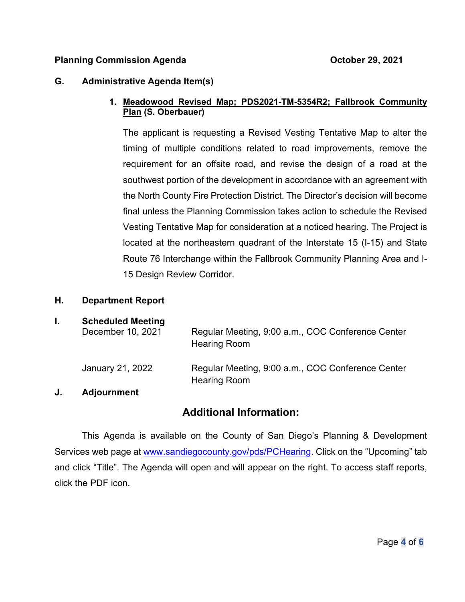## **Planning Commission Agenda Commission Agenda Commission Agenda Commission Agent**

### **G. Administrative Agenda Item(s)**

## **1. Meadowood Revised Map; PDS2021-TM-5354R2; Fallbrook Community Plan (S. Oberbauer)**

The applicant is requesting a Revised Vesting Tentative Map to alter the timing of multiple conditions related to road improvements, remove the requirement for an offsite road, and revise the design of a road at the southwest portion of the development in accordance with an agreement with the North County Fire Protection District. The Director's decision will become final unless the Planning Commission takes action to schedule the Revised Vesting Tentative Map for consideration at a noticed hearing. The Project is located at the northeastern quadrant of the Interstate 15 (I-15) and State Route 76 Interchange within the Fallbrook Community Planning Area and I-15 Design Review Corridor.

### **H. Department Report**

## **I. Scheduled Meeting**

| <u>sensaarea moodina</u><br>December 10, 2021 | Regular Meeting, 9:00 a.m., COC Conference Center<br><b>Hearing Room</b> |
|-----------------------------------------------|--------------------------------------------------------------------------|
| January 21, 2022                              | Regular Meeting, 9:00 a.m., COC Conference Center<br><b>Hearing Room</b> |

### **J. Adjournment**

# **Additional Information:**

This Agenda is available on the County of San Diego's Planning & Development Services web page at [www.sandiegocounty.gov/pds/PCHearing.](http://www.sandiegocounty.gov/pds/PCHearing) Click on the "Upcoming" tab and click "Title". The Agenda will open and will appear on the right. To access staff reports, click the PDF icon.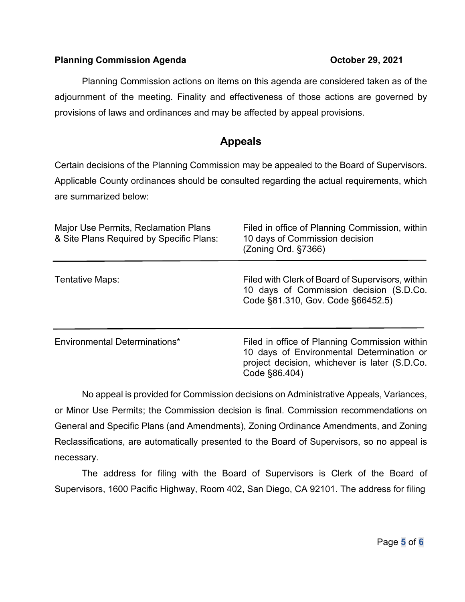## **Planning Commission Agenda Commission Agenda Commission Agents Commission Agents Commission Agents Commission Agents Commission Agents Commission Agents Commission Agents Commission Agents Commission A**

Planning Commission actions on items on this agenda are considered taken as of the adjournment of the meeting. Finality and effectiveness of those actions are governed by provisions of laws and ordinances and may be affected by appeal provisions.

# **Appeals**

Certain decisions of the Planning Commission may be appealed to the Board of Supervisors. Applicable County ordinances should be consulted regarding the actual requirements, which are summarized below:

| <b>Major Use Permits, Reclamation Plans</b><br>& Site Plans Required by Specific Plans: | Filed in office of Planning Commission, within<br>10 days of Commission decision<br>(Zoning Ord. §7366)                                                      |
|-----------------------------------------------------------------------------------------|--------------------------------------------------------------------------------------------------------------------------------------------------------------|
| Tentative Maps:                                                                         | Filed with Clerk of Board of Supervisors, within<br>10 days of Commission decision (S.D.Co.<br>Code §81.310, Gov. Code §66452.5)                             |
| Environmental Determinations*                                                           | Filed in office of Planning Commission within<br>10 days of Environmental Determination or<br>project decision, whichever is later (S.D.Co.<br>Code §86.404) |

No appeal is provided for Commission decisions on Administrative Appeals, Variances, or Minor Use Permits; the Commission decision is final. Commission recommendations on General and Specific Plans (and Amendments), Zoning Ordinance Amendments, and Zoning Reclassifications, are automatically presented to the Board of Supervisors, so no appeal is necessary.

The address for filing with the Board of Supervisors is Clerk of the Board of Supervisors, 1600 Pacific Highway, Room 402, San Diego, CA 92101. The address for filing